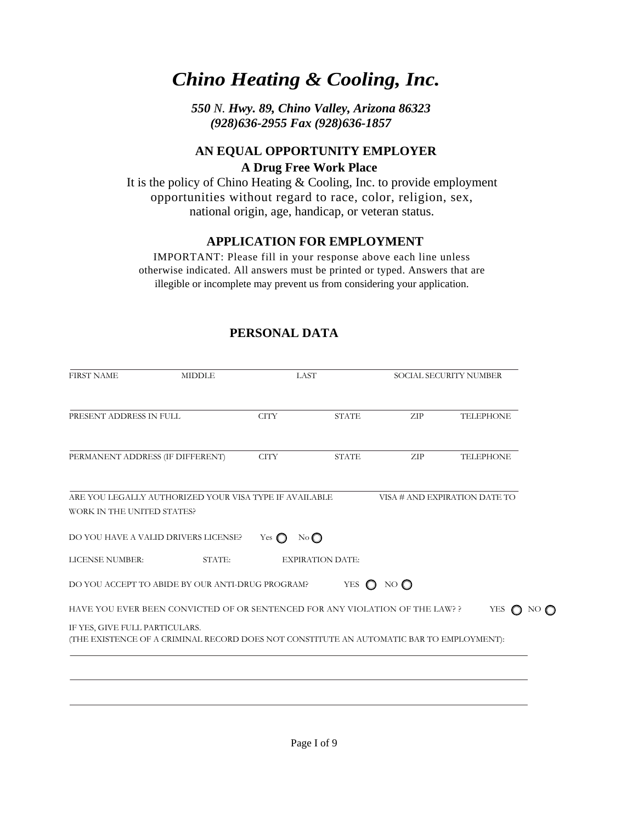# *Chino Heating & Cooling, Inc.*

*550 N. Hwy. 89, Chino Valley, Arizona 86323 (928)636-2955 Fax (928)636-1857* 

# **AN EQUAL OPPORTUNITY EMPLOYER A Drug Free Work Place**

It is the policy of Chino Heating & Cooling, Inc. to provide employment opportunities without regard to race, color, religion, sex, national origin, age, handicap, or veteran status.

## **APPLICATION FOR EMPLOYMENT**

IMPORTANT: Please fill in your response above each line unless otherwise indicated. All answers must be printed or typed. Answers that are illegible or incomplete may prevent us from considering your application.

| <b>FIRST NAME</b>                | <b>MIDDLE</b>                                                                            |               | <b>LAST</b>             |               | SOCIAL SECURITY NUMBER        |
|----------------------------------|------------------------------------------------------------------------------------------|---------------|-------------------------|---------------|-------------------------------|
| PRESENT ADDRESS IN FULL          |                                                                                          | <b>CITY</b>   | <b>STATE</b>            | ZIP           | <b>TELEPHONE</b>              |
|                                  |                                                                                          |               |                         |               |                               |
| PERMANENT ADDRESS (IF DIFFERENT) |                                                                                          | <b>CITY</b>   | <b>STATE</b>            | ZIP           | <b>TELEPHONE</b>              |
| WORK IN THE UNITED STATES?       | ARE YOU LEGALLY AUTHORIZED YOUR VISA TYPE IF AVAILABLE                                   |               |                         |               | VISA # AND EXPIRATION DATE TO |
|                                  | DO YOU HAVE A VALID DRIVERS LICENSE?                                                     | Yes $\bigcap$ | No                      |               |                               |
| LICENSE NUMBER:                  | STATE:                                                                                   |               | <b>EXPIRATION DATE:</b> |               |                               |
|                                  | DO YOU ACCEPT TO ABIDE BY OUR ANTI-DRUG PROGRAM?                                         |               | <b>YES</b><br>$\Omega$  | NO $\bigcirc$ |                               |
|                                  | HAVE YOU EVER BEEN CONVICTED OF OR SENTENCED FOR ANY VIOLATION OF THE LAW? ?             |               |                         |               | <b>YES</b>                    |
| IF YES, GIVE FULL PARTICULARS.   | (THE EXISTENCE OF A CRIMINAL RECORD DOES NOT CONSTITUTE AN AUTOMATIC BAR TO EMPLOYMENT): |               |                         |               |                               |
|                                  |                                                                                          |               |                         |               |                               |
|                                  |                                                                                          |               |                         |               |                               |
|                                  |                                                                                          |               |                         |               |                               |
|                                  |                                                                                          |               |                         |               |                               |

# **PERSONAL DATA**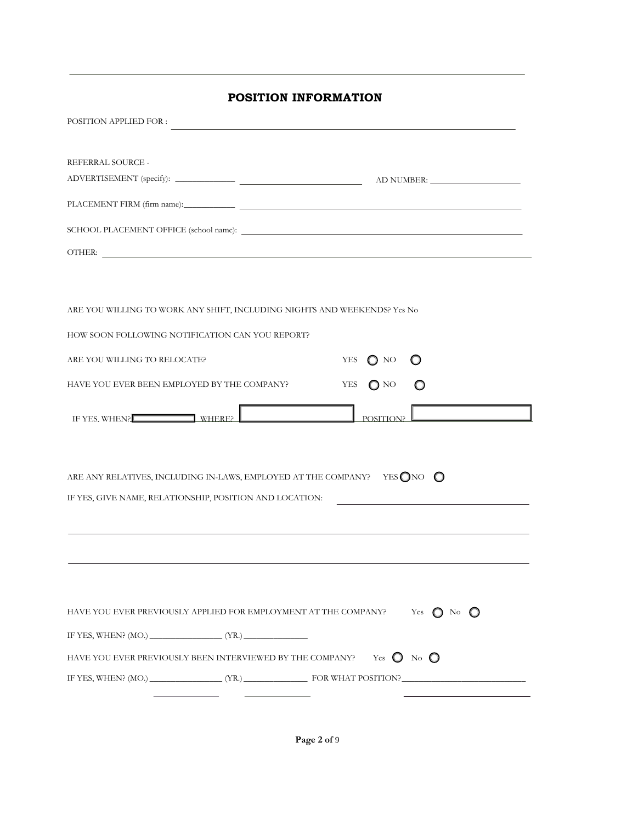| POSITION APPLIED FOR :                                                                                                                                                                                                               |
|--------------------------------------------------------------------------------------------------------------------------------------------------------------------------------------------------------------------------------------|
|                                                                                                                                                                                                                                      |
| REFERRAL SOURCE -                                                                                                                                                                                                                    |
|                                                                                                                                                                                                                                      |
|                                                                                                                                                                                                                                      |
|                                                                                                                                                                                                                                      |
| OTHER: <b>All and Contract Contract Contract Contract Contract Contract Contract Contract Contract Contract Contract Contract Contract Contract Contract Contract Contract Contract Contract Contract Contract Contract Contract</b> |
|                                                                                                                                                                                                                                      |
|                                                                                                                                                                                                                                      |
| ARE YOU WILLING TO WORK ANY SHIFT, INCLUDING NIGHTS AND WEEKENDS? Yes No                                                                                                                                                             |
| HOW SOON FOLLOWING NOTIFICATION CAN YOU REPORT?                                                                                                                                                                                      |
| ARE YOU WILLING TO RELOCATE?<br>YES<br>$\Omega$ NO                                                                                                                                                                                   |
| <b>YES</b><br>HAVE YOU EVER BEEN EMPLOYED BY THE COMPANY?<br>$\bigcap$ NO                                                                                                                                                            |
| IF YES, WHEN?<br>POSITION?                                                                                                                                                                                                           |
|                                                                                                                                                                                                                                      |
| ARE ANY RELATIVES, INCLUDING IN-LAWS, EMPLOYED AT THE COMPANY? YES $\bigcirc$ NO $\bigcirc$                                                                                                                                          |
| IF YES, GIVE NAME, RELATIONSHIP, POSITION AND LOCATION:                                                                                                                                                                              |
|                                                                                                                                                                                                                                      |
|                                                                                                                                                                                                                                      |
|                                                                                                                                                                                                                                      |
|                                                                                                                                                                                                                                      |
|                                                                                                                                                                                                                                      |
| HAVE YOU EVER PREVIOUSLY APPLIED FOR EMPLOYMENT AT THE COMPANY?<br>Yes $\bigcirc$ No                                                                                                                                                 |
|                                                                                                                                                                                                                                      |
| HAVE YOU EVER PREVIOUSLY BEEN INTERVIEWED BY THE COMPANY? Yes $\bigcirc$ No $\bigcirc$                                                                                                                                               |
| IF YES, WHEN? (MO.) (YR.) FOR WHAT POSITION?                                                                                                                                                                                         |
|                                                                                                                                                                                                                                      |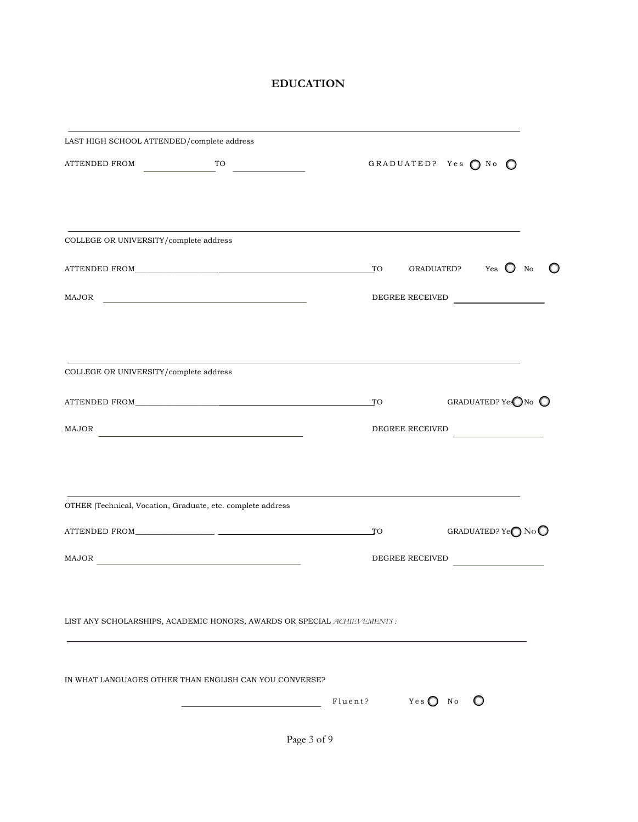# **EDUCATION**

| LAST HIGH SCHOOL ATTENDED/complete address                              |                                                                 |                           |  |                                        |  |
|-------------------------------------------------------------------------|-----------------------------------------------------------------|---------------------------|--|----------------------------------------|--|
| ATTENDED FROM                                                           | $T$ <sup>TO</sup>                                               | GRADUATED? Yes ONO O      |  |                                        |  |
| COLLEGE OR UNIVERSITY/complete address                                  |                                                                 |                           |  |                                        |  |
|                                                                         |                                                                 |                           |  |                                        |  |
| ATTENDED FROM TO                                                        |                                                                 |                           |  | GRADUATED? Yes $\bigcirc$ No           |  |
| MAJOR                                                                   | <u> 1989 - Johann Barn, fransk politik amerikansk politik (</u> | DEGREE RECEIVED           |  |                                        |  |
|                                                                         |                                                                 |                           |  |                                        |  |
| COLLEGE OR UNIVERSITY/complete address                                  |                                                                 |                           |  |                                        |  |
|                                                                         |                                                                 | $_{\rm TO}$               |  | GRADUATED? YesONo O                    |  |
| MAJOR                                                                   |                                                                 | DEGREE RECEIVED           |  |                                        |  |
|                                                                         |                                                                 |                           |  |                                        |  |
| OTHER (Technical, Vocation, Graduate, etc. complete address             |                                                                 |                           |  |                                        |  |
|                                                                         |                                                                 | TO                        |  | GRADUATED? Ye $\bigcirc$ No $\bigcirc$ |  |
| $\text{MAJOR} \underline{\hspace{2cm}}$                                 |                                                                 | DEGREE RECEIVED           |  | <u> 1990 - Andrea State</u>            |  |
|                                                                         |                                                                 |                           |  |                                        |  |
| LIST ANY SCHOLARSHIPS, ACADEMIC HONORS, AWARDS OR SPECIAL ACHIEVEMENTS: |                                                                 |                           |  |                                        |  |
| IN WHAT LANGUAGES OTHER THAN ENGLISH CAN YOU CONVERSE?                  |                                                                 |                           |  |                                        |  |
|                                                                         |                                                                 | Fluent? $Yes \bigcirc$ No |  | $\circ$                                |  |
|                                                                         |                                                                 |                           |  |                                        |  |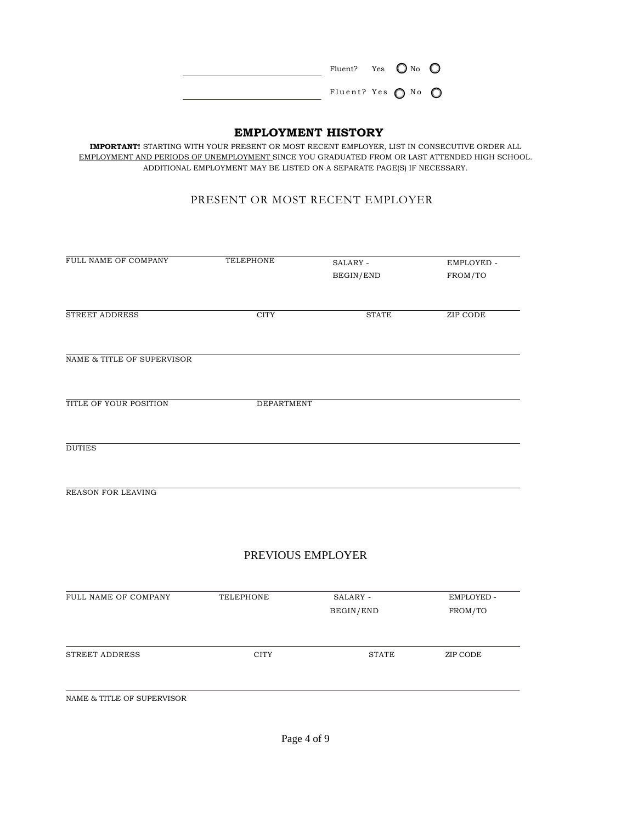|  | Fluent? Yes $\bigcirc$ No $\bigcirc$ |  |  |
|--|--------------------------------------|--|--|
|  | Fluent? Yes $\bigcirc$ No $\bigcirc$ |  |  |

### **EMPLOYMENT HISTORY**

**IMPORTANT!** STARTING WITH YOUR PRESENT OR MOST RECENT EMPLOYER, LIST IN CONSECUTIVE ORDER ALL EMPLOYMENT AND PERIODS OF UNEMPLOYMENT SINCE YOU GRADUATED FROM OR LAST ATTENDED HIGH SCHOOL. ADDITIONAL EMPLOYMENT MAY BE LISTED ON A SEPARATE PAGE(S) IF NECESSARY.

#### PRESENT OR MOST RECENT EMPLOYER

| FULL NAME OF COMPANY       | TELEPHONE   | SALARY -     | EMPLOYED - |
|----------------------------|-------------|--------------|------------|
|                            |             | BEGIN/END    | FROM/TO    |
|                            |             |              |            |
| <b>STREET ADDRESS</b>      | <b>CITY</b> | <b>STATE</b> | ZIP CODE   |
| NAME & TITLE OF SUPERVISOR |             |              |            |
| TITLE OF YOUR POSITION     | DEPARTMENT  |              |            |
| <b>DUTIES</b>              |             |              |            |

REASON FOR LEAVING

### PREVIOUS EMPLOYER

| TELEPHONE   | SALARY -  | EMPLOYED - |
|-------------|-----------|------------|
|             | BEGIN/END | FROM/TO    |
|             |           |            |
| <b>CITY</b> | STATE     | ZIP CODE   |
|             |           |            |
|             |           |            |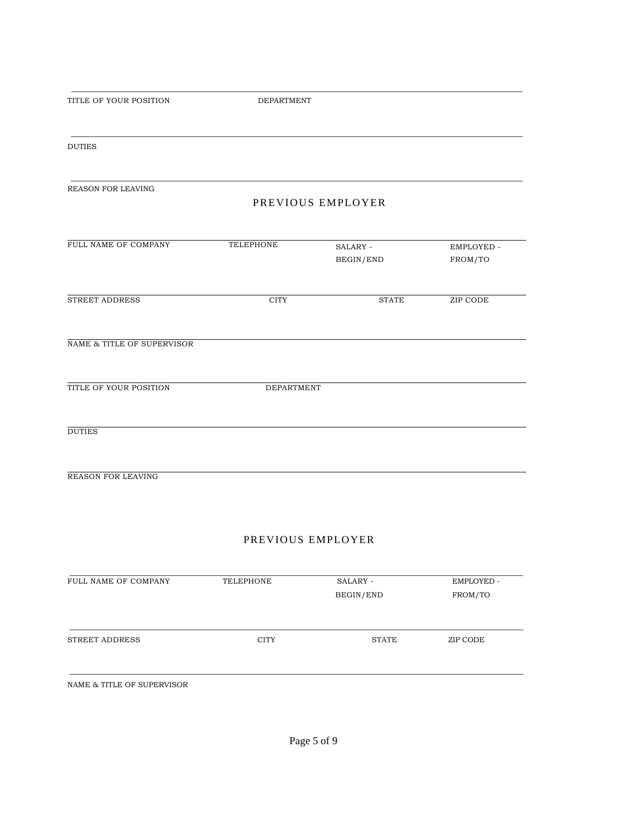TITLE OF YOUR POSITION DEPARTMENT

DUTIES

REASON FOR LEAVING

#### PREVIOUS EMPLOYER

| FULL NAME OF COMPANY       | TELEPHONE   | SALARY -     | EMPLOYED - |
|----------------------------|-------------|--------------|------------|
|                            |             | BEGIN/END    | FROM/TO    |
|                            |             |              |            |
| STREET ADDRESS             | <b>CITY</b> | <b>STATE</b> | ZIP CODE   |
| NAME & TITLE OF SUPERVISOR |             |              |            |
| TITLE OF YOUR POSITION     | DEPARTMENT  |              |            |
| <b>DUTIES</b>              |             |              |            |
|                            |             |              |            |

REASON FOR LEAVING

#### PREVIOUS EMPLOYER

| FULL NAME OF COMPANY       | TELEPHONE   | SALARY -  | EMPLOYED - |
|----------------------------|-------------|-----------|------------|
|                            |             | BEGIN/END | FROM/TO    |
|                            |             |           |            |
| STREET ADDRESS             | <b>CITY</b> | STATE     | ZIP CODE   |
|                            |             |           |            |
| NAME & TITLE OF SUPERVISOR |             |           |            |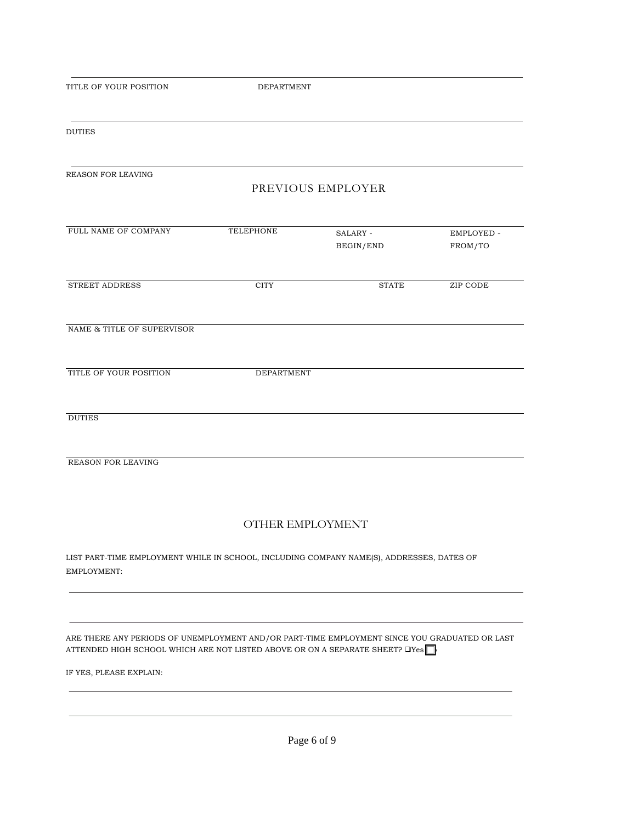DEPARTMENT

| <b>DUTIES</b>                                                                                                                                                                              |                  |                       |                       |
|--------------------------------------------------------------------------------------------------------------------------------------------------------------------------------------------|------------------|-----------------------|-----------------------|
| <b>REASON FOR LEAVING</b>                                                                                                                                                                  |                  | PREVIOUS EMPLOYER     |                       |
| FULL NAME OF COMPANY                                                                                                                                                                       | <b>TELEPHONE</b> | SALARY -<br>BEGIN/END | EMPLOYED -<br>FROM/TO |
| <b>STREET ADDRESS</b>                                                                                                                                                                      | <b>CITY</b>      | <b>STATE</b>          | ZIP CODE              |
| NAME & TITLE OF SUPERVISOR                                                                                                                                                                 |                  |                       |                       |
| TITLE OF YOUR POSITION                                                                                                                                                                     | DEPARTMENT       |                       |                       |
| <b>DUTIES</b>                                                                                                                                                                              |                  |                       |                       |
| <b>REASON FOR LEAVING</b>                                                                                                                                                                  |                  |                       |                       |
|                                                                                                                                                                                            |                  | OTHER EMPLOYMENT      |                       |
| LIST PART-TIME EMPLOYMENT WHILE IN SCHOOL, INCLUDING COMPANY NAME(S), ADDRESSES, DATES OF<br>EMPLOYMENT:                                                                                   |                  |                       |                       |
|                                                                                                                                                                                            |                  |                       |                       |
| ARE THERE ANY PERIODS OF UNEMPLOYMENT AND/OR PART-TIME EMPLOYMENT SINCE YOU GRADUATED OR LAST<br>ATTENDED HIGH SCHOOL WHICH ARE NOT LISTED ABOVE OR ON A SEPARATE SHEET? $\Box$ Yes $\Box$ |                  |                       |                       |
| IF YES, PLEASE EXPLAIN:                                                                                                                                                                    |                  |                       |                       |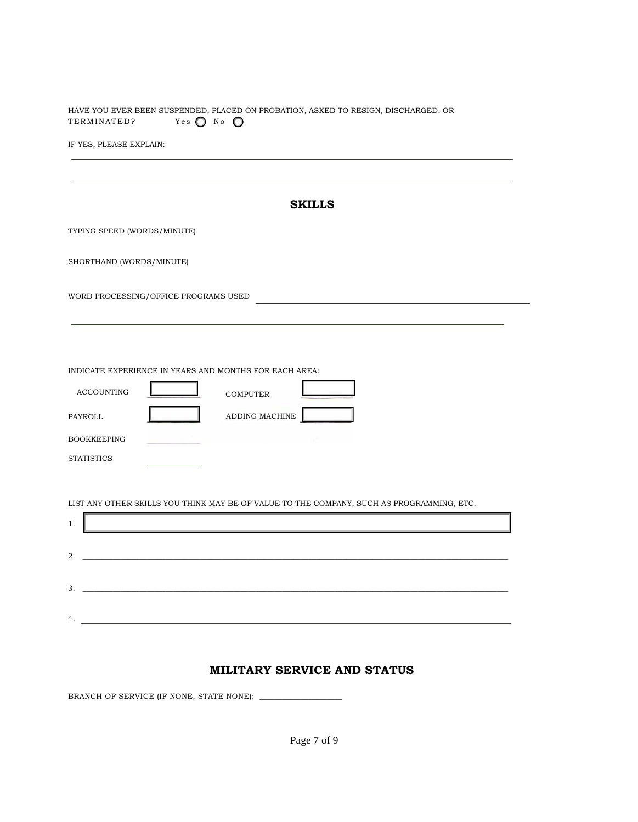HAVE YOU EVER BEEN SUSPENDED, PLACED ON PROBATION, ASKED TO RESIGN, DISCHARGED. OR TERMINATED? Yes O No O

IF YES, PLEASE EXPLAIN:

|                                                    | <b>SKILLS</b>                                                                               |
|----------------------------------------------------|---------------------------------------------------------------------------------------------|
| TYPING SPEED (WORDS/MINUTE)                        |                                                                                             |
| SHORTHAND (WORDS/MINUTE)                           |                                                                                             |
| WORD PROCESSING/OFFICE PROGRAMS USED               |                                                                                             |
|                                                    |                                                                                             |
| <b>ACCOUNTING</b><br>PAYROLL<br><b>BOOKKEEPING</b> | INDICATE EXPERIENCE IN YEARS AND MONTHS FOR EACH AREA:<br><b>COMPUTER</b><br>ADDING MACHINE |
| <b>STATISTICS</b>                                  |                                                                                             |
| 1.                                                 | LIST ANY OTHER SKILLS YOU THINK MAY BE OF VALUE TO THE COMPANY, SUCH AS PROGRAMMING, ETC.   |
| 2.                                                 |                                                                                             |
| 3.                                                 |                                                                                             |
| 4.                                                 |                                                                                             |

#### **MILITARY SERVICE AND STATUS**

BRANCH OF SERVICE (IF NONE, STATE NONE): \_\_\_\_\_\_\_\_\_\_\_\_\_\_\_\_\_\_\_\_\_\_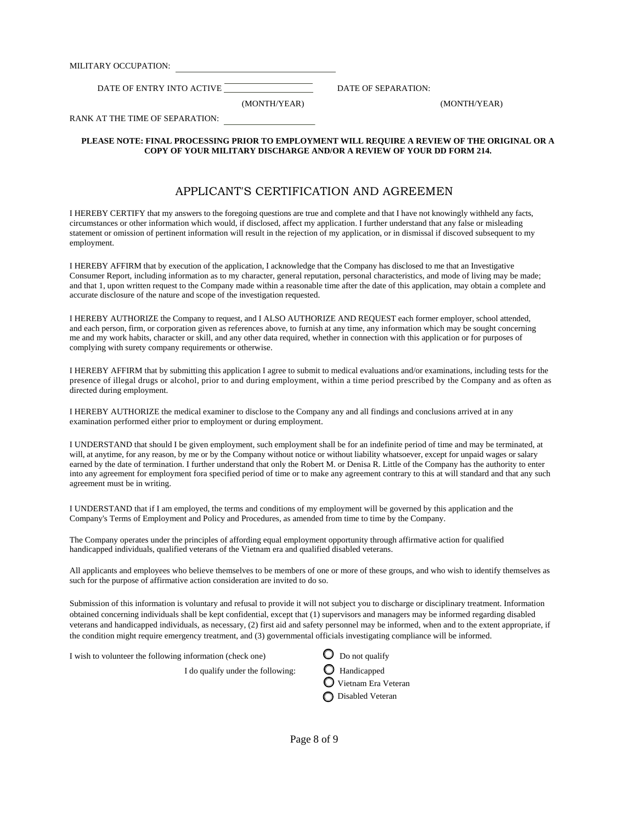MILITARY OCCUPATION:

DATE OF ENTRY INTO ACTIVE DATE OF SEPARATION:

(MONTH/YEAR) (MONTH/YEAR)

RANK AT THE TIME OF SEPARATION:

#### **PLEASE NOTE: FINAL PROCESSING PRIOR TO EMPLOYMENT WILL REQUIRE A REVIEW OF THE ORIGINAL OR A COPY OF YOUR MILITARY DISCHARGE AND/OR A REVIEW OF YOUR DD FORM 214.**

#### APPLICANT'S CERTIFICATION AND AGREEMEN

I HEREBY CERTIFY that my answers to the foregoing questions are true and complete and that I have not knowingly withheld any facts, circumstances or other information which would, if disclosed, affect my application. I further understand that any false or misleading statement or omission of pertinent information will result in the rejection of my application, or in dismissal if discoved subsequent to my employment.

I HEREBY AFFIRM that by execution of the application, I acknowledge that the Company has disclosed to me that an Investigative Consumer Report, including information as to my character, general reputation, personal characteristics, and mode of living may be made; and that 1, upon written request to the Company made within a reasonable time after the date of this application, may obtain a complete and accurate disclosure of the nature and scope of the investigation requested.

I HEREBY AUTHORIZE the Company to request, and I ALSO AUTHORIZE AND REQUEST each former employer, school attended, and each person, firm, or corporation given as references above, to furnish at any time, any information which may be sought concerning me and my work habits, character or skill, and any other data required, whether in connection with this application or for purposes of complying with surety company requirements or otherwise.

I HEREBY AFFIRM that by submitting this application I agree to submit to medical evaluations and/or examinations, including tests for the presence of illegal drugs or alcohol, prior to and during employment, within a time period prescribed by the Company and as often as directed during employment.

I HEREBY AUTHORIZE the medical examiner to disclose to the Company any and all findings and conclusions arrived at in any examination performed either prior to employment or during employment.

I UNDERSTAND that should I be given employment, such employment shall be for an indefinite period of time and may be terminated, at will, at anytime, for any reason, by me or by the Company without notice or without liability whatsoever, except for unpaid wages or salary earned by the date of termination. I further understand that only the Robert M. or Denisa R. Little of the Company has the authority to enter into any agreement for employment fora specified period of time or to make any agreement contrary to this at will standard and that any such agreement must be in writing.

I UNDERSTAND that if I am employed, the terms and conditions of my employment will be governed by this application and the Company's Terms of Employment and Policy and Procedures, as amended from time to time by the Company.

The Company operates under the principles of affording equal employment opportunity through affirmative action for qualified handicapped individuals, qualified veterans of the Vietnam era and qualified disabled veterans.

All applicants and employees who believe themselves to be members of one or more of these groups, and who wish to identify themselves as such for the purpose of affirmative action consideration are invited to do so.

Submission of this information is voluntary and refusal to provide it will not subject you to discharge or disciplinary treatment. Information obtained concerning individuals shall be kept confidential, except that (1) supervisors and managers may be informed regarding disabled veterans and handicapped individuals, as necessary, (2) first aid and safety personnel may be informed, when and to the extent appropriate, if the condition might require emergency treatment, and (3) governmental officials investigating compliance will be informed.

I wish to volunteer the following information (check one)  $\overline{O}$  Do not qualify

I do qualify under the following:  $\qquad \qquad \bullet$  Handicapped Vietnam Era Veteran Disabled Veteran